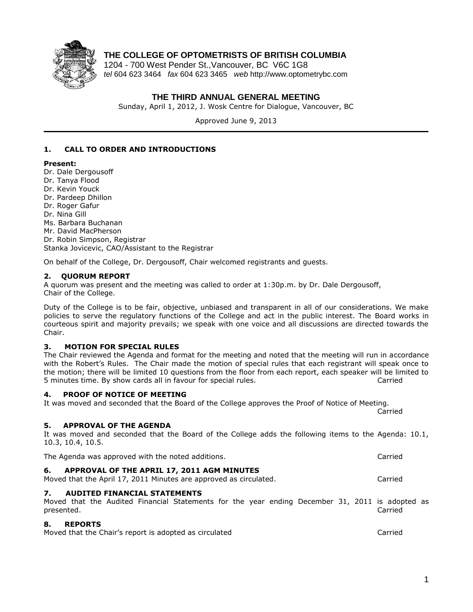

# **THE COLLEGE OF OPTOMETRISTS OF BRITISH COLUMBIA**

1204 - 700 West Pender St.,Vancouver, BC V6C 1G8 *tel* 604 623 3464 *fax* 604 623 3465 *web* http://www.optometrybc.com

## **THE THIRD ANNUAL GENERAL MEETING**

Sunday, April 1, 2012, J. Wosk Centre for Dialogue, Vancouver, BC

Approved June 9, 2013

## **1. CALL TO ORDER AND INTRODUCTIONS**

## **Present:**

- Dr. Dale Dergousoff
- Dr. Tanya Flood
- Dr. Kevin Youck
- Dr. Pardeep Dhillon
- Dr. Roger Gafur
- Dr. Nina Gill
- Ms. Barbara Buchanan
- Mr. David MacPherson

Dr. Robin Simpson, Registrar Stanka Jovicevic, CAO/Assistant to the Registrar

On behalf of the College, Dr. Dergousoff, Chair welcomed registrants and guests.

## **2. QUORUM REPORT**

A quorum was present and the meeting was called to order at 1:30p.m. by Dr. Dale Dergousoff, Chair of the College.

Duty of the College is to be fair, objective, unbiased and transparent in all of our considerations. We make policies to serve the regulatory functions of the College and act in the public interest. The Board works in courteous spirit and majority prevails; we speak with one voice and all discussions are directed towards the Chair.

## **3. MOTION FOR SPECIAL RULES**

The Chair reviewed the Agenda and format for the meeting and noted that the meeting will run in accordance with the Robert's Rules. The Chair made the motion of special rules that each registrant will speak once to the motion; there will be limited 10 questions from the floor from each report, each speaker will be limited to 5 minutes time. By show cards all in favour for special rules. Carried

## **4. PROOF OF NOTICE OF MEETING**

It was moved and seconded that the Board of the College approves the Proof of Notice of Meeting. Carried

## **5. APPROVAL OF THE AGENDA**

It was moved and seconded that the Board of the College adds the following items to the Agenda: 10.1, 10.3, 10.4, 10.5.

The Agenda was approved with the noted additions. Carried

## **6. APPROVAL OF THE APRIL 17, 2011 AGM MINUTES**

# Moved that the April 17, 2011 Minutes are approved as circulated. Carried

## **7. AUDITED FINANCIAL STATEMENTS**

Moved that the Audited Financial Statements for the year ending December 31, 2011 is adopted as presented. Carried

## **8. REPORTS**

Moved that the Chair's report is adopted as circulated Carried Carried Carried